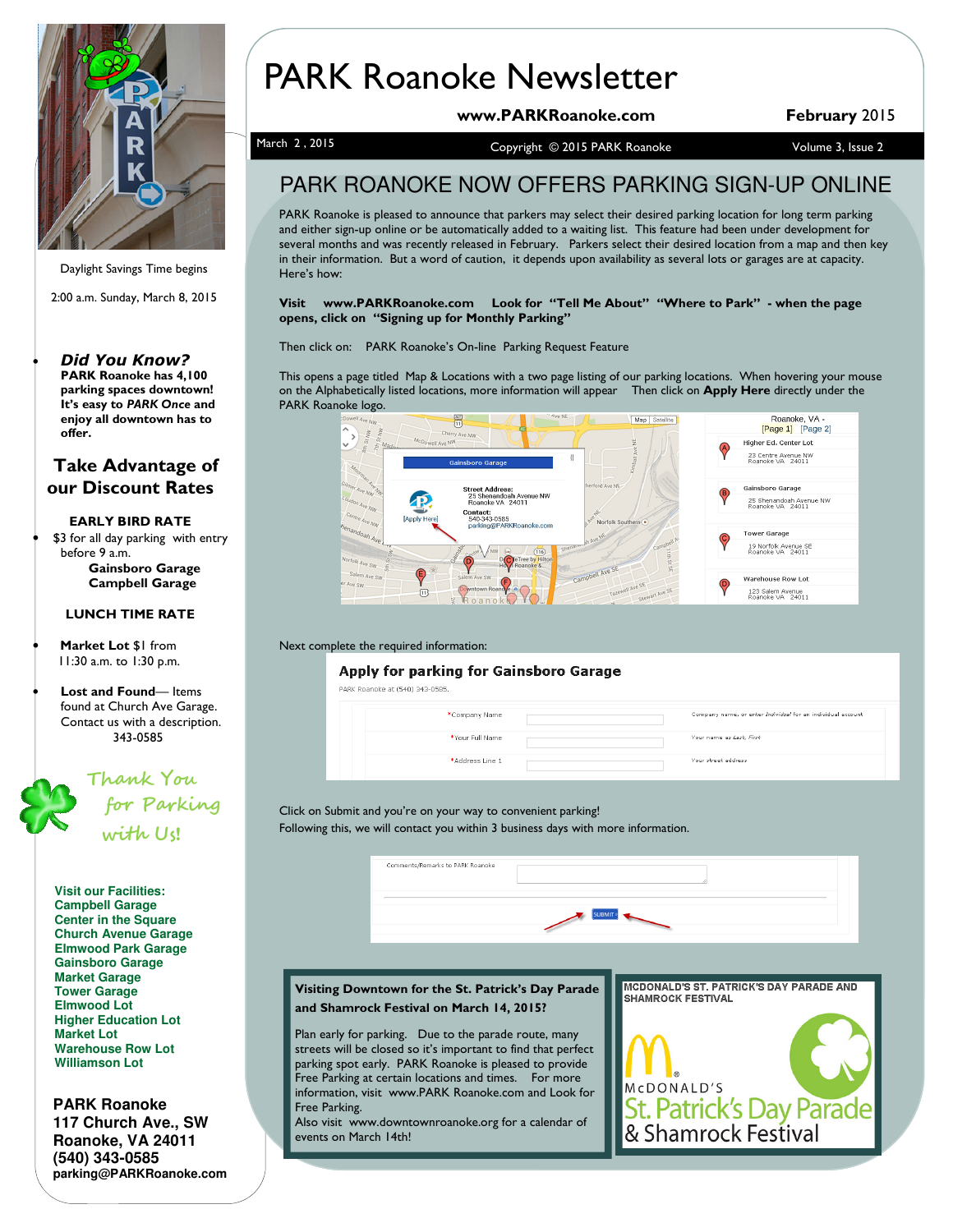

Daylight Savings Time begins

2:00 a.m. Sunday, March 8, 2015

#### **Did You Know?** PARK Roanoke has 4,100 parking spaces downtown! It's easy to PARK Once and enjoy all downtown has to offer.

### Take Advantage of our Discount Rates

### EARLY BIRD RATE

\$3 for all day parking with entry before 9 a.m. Gainsboro Garage Campbell Garage

### LUNCH TIME RATE

Market Lot \$1 from 11:30 a.m. to 1:30 p.m.

• Lost and Found— Items found at Church Ave Garage. Contact us with a description. 343-0585



**Visit our Facilities: Campbell Garage Center in the Square Church Avenue Garage Elmwood Park Garage Gainsboro Garage Market Garage Tower Garage Elmwood Lot Higher Education Lot Market Lot Warehouse Row Lot Williamson Lot**

**PARK Roanoke 117 Church Ave., SW Roanoke, VA 24011 (540) 343-0585 parking@PARKRoanoke.com** 

# PARK Roanoke Newsletter

www.PARKRoanoke.com February 2015

March 2, 2015 Copyright © 2015 PARK Roanoke Volume 3, Issue 2

### PARK ROANOKE NOW OFFERS PARKING SIGN-UP ONLINE

PARK Roanoke is pleased to announce that parkers may select their desired parking location for long term parking and either sign-up online or be automatically added to a waiting list. This feature had been under development for several months and was recently released in February. Parkers select their desired location from a map and then key in their information. But a word of caution, it depends upon availability as several lots or garages are at capacity. Here's how:

Visit www.PARKRoanoke.com Look for "Tell Me About" "Where to Park" - when the page opens, click on "Signing up for Monthly Parking"

Then click on: PARK Roanoke's On-line Parking Request Feature

This opens a page titled Map & Locations with a two page listing of our parking locations. When hovering your mouse on the Alphabetically listed locations, more information will appear Then click on Apply Here directly under the PARK Roanoke logo.



#### Next complete the required information:

### **Apply for parking for Gainsboro Garage**

| PARK Roanoke at (540) 343-0585. |  |                                                             |
|---------------------------------|--|-------------------------------------------------------------|
| *Company Name                   |  | Company name, or enter Individual for an individual account |
| *Your Full Name                 |  | Your name as Last, First                                    |
| *Address Line 1                 |  | Your street address                                         |
|                                 |  |                                                             |

Click on Submit and you're on your way to convenient parking! Following this, we will contact you within 3 business days with more information.



### Visiting Downtown for the St. Patrick's Day Parade and Shamrock Festival on March 14, 2015?

Plan early for parking. Due to the parade route, many streets will be closed so it's important to find that perfect parking spot early. PARK Roanoke is pleased to provide Free Parking at certain locations and times. For more information, visit www.PARK Roanoke.com and Look for Free Parking.

Also visit www.downtownroanoke.org for a calendar of events on March 14th!